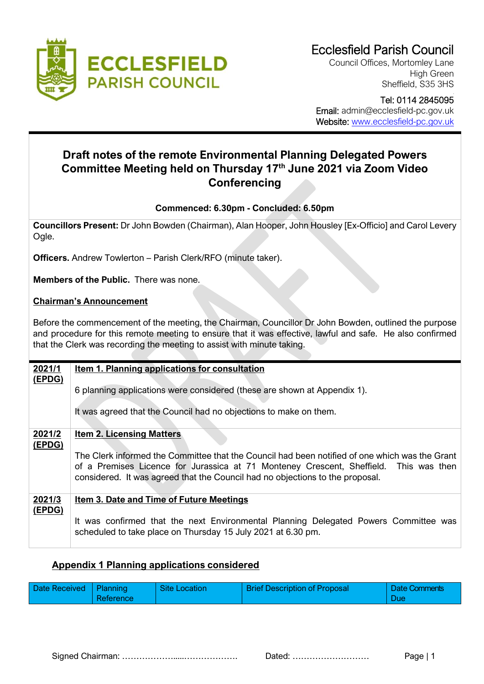

Council Offices, Mortomley Lane High Green Sheffield, S35 3HS

#### Tel: 0114 2845095 Email: admin@ecclesfield-pc.gov.uk Website: [www.ecclesfield-pc.gov.uk](http://www.ecclesfield-pc.gov.uk/)

# **Draft notes of the remote Environmental Planning Delegated Powers Committee Meeting held on Thursday 17 th June 2021 via Zoom Video Conferencing**

## **Commenced: 6.30pm - Concluded: 6.50pm**

**Councillors Present:** Dr John Bowden (Chairman), Alan Hooper, John Housley [Ex-Officio] and Carol Levery Ogle.

**Officers.** Andrew Towlerton – Parish Clerk/RFO (minute taker).

**Members of the Public.** There was none.

#### **Chairman's Announcement**

Before the commencement of the meeting, the Chairman, Councillor Dr John Bowden, outlined the purpose and procedure for this remote meeting to ensure that it was effective, lawful and safe. He also confirmed that the Clerk was recording the meeting to assist with minute taking.

| 2021/1           | Item 1. Planning applications for consultation                                                                                                                                                                                                                           |  |  |  |  |  |
|------------------|--------------------------------------------------------------------------------------------------------------------------------------------------------------------------------------------------------------------------------------------------------------------------|--|--|--|--|--|
| (EPDG)           | 6 planning applications were considered (these are shown at Appendix 1).                                                                                                                                                                                                 |  |  |  |  |  |
|                  | It was agreed that the Council had no objections to make on them.                                                                                                                                                                                                        |  |  |  |  |  |
| 2021/2<br>(EPDG) | <b>Item 2. Licensing Matters</b>                                                                                                                                                                                                                                         |  |  |  |  |  |
|                  | The Clerk informed the Committee that the Council had been notified of one which was the Grant<br>of a Premises Licence for Jurassica at 71 Monteney Crescent, Sheffield. This was then<br>considered. It was agreed that the Council had no objections to the proposal. |  |  |  |  |  |
| 2021/3<br>(EPDG) | Item 3. Date and Time of Future Meetings                                                                                                                                                                                                                                 |  |  |  |  |  |
|                  | It was confirmed that the next Environmental Planning Delegated Powers Committee was<br>scheduled to take place on Thursday 15 July 2021 at 6.30 pm.                                                                                                                     |  |  |  |  |  |

## **Appendix 1 Planning applications considered**

| Date Received   Planning<br><b>Reference</b> | <b>Site Location</b> | <b>Brief Description of Proposal</b> | <b>Date Comments</b><br>Due |
|----------------------------------------------|----------------------|--------------------------------------|-----------------------------|
|----------------------------------------------|----------------------|--------------------------------------|-----------------------------|